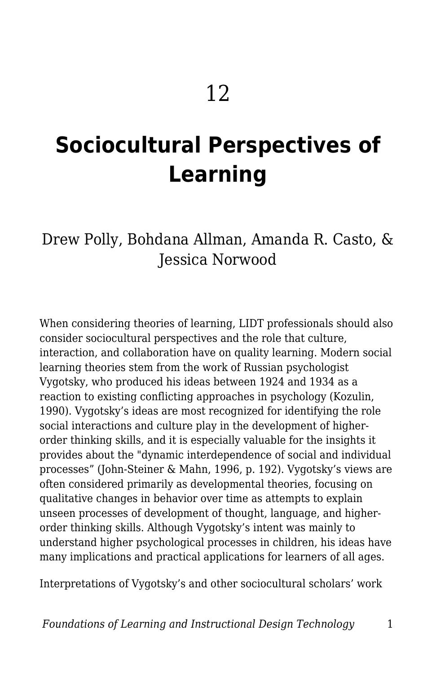# **Sociocultural Perspectives of Learning**

### Drew Polly, Bohdana Allman, Amanda R. Casto, & Jessica Norwood

When considering theories of learning, LIDT professionals should also consider sociocultural perspectives and the role that culture, interaction, and collaboration have on quality learning. Modern social learning theories stem from the work of Russian psychologist Vygotsky, who produced his ideas between 1924 and 1934 as a reaction to existing conflicting approaches in psychology (Kozulin, 1990). Vygotsky's ideas are most recognized for identifying the role social interactions and culture play in the development of higherorder thinking skills, and it is especially valuable for the insights it provides about the "dynamic interdependence of social and individual processes" (John-Steiner & Mahn, 1996, p. 192). Vygotsky's views are often considered primarily as developmental theories, focusing on qualitative changes in behavior over time as attempts to explain unseen processes of development of thought, language, and higherorder thinking skills. Although Vygotsky's intent was mainly to understand higher psychological processes in children, his ideas have many implications and practical applications for learners of all ages.

Interpretations of Vygotsky's and other sociocultural scholars' work

*Foundations of Learning and Instructional Design Technology* 1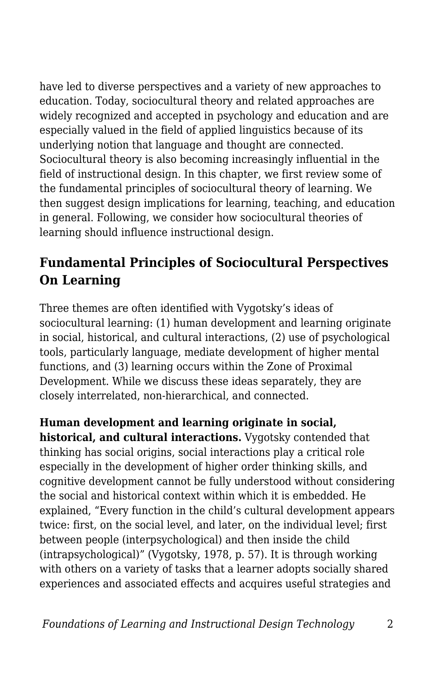have led to diverse perspectives and a variety of new approaches to education. Today, sociocultural theory and related approaches are widely recognized and accepted in psychology and education and are especially valued in the field of applied linguistics because of its underlying notion that language and thought are connected. Sociocultural theory is also becoming increasingly influential in the field of instructional design. In this chapter, we first review some of the fundamental principles of sociocultural theory of learning. We then suggest design implications for learning, teaching, and education in general. Following, we consider how sociocultural theories of learning should influence instructional design.

#### **Fundamental Principles of Sociocultural Perspectives On Learning**

Three themes are often identified with Vygotsky's ideas of sociocultural learning: (1) human development and learning originate in social, historical, and cultural interactions, (2) use of psychological tools, particularly language, mediate development of higher mental functions, and (3) learning occurs within the Zone of Proximal Development. While we discuss these ideas separately, they are closely interrelated, non-hierarchical, and connected.

**Human development and learning originate in social, historical, and cultural interactions.** Vygotsky contended that thinking has social origins, social interactions play a critical role especially in the development of higher order thinking skills, and cognitive development cannot be fully understood without considering the social and historical context within which it is embedded. He explained, "Every function in the child's cultural development appears twice: first, on the social level, and later, on the individual level; first between people (interpsychological) and then inside the child (intrapsychological)" (Vygotsky, 1978, p. 57). It is through working with others on a variety of tasks that a learner adopts socially shared experiences and associated effects and acquires useful strategies and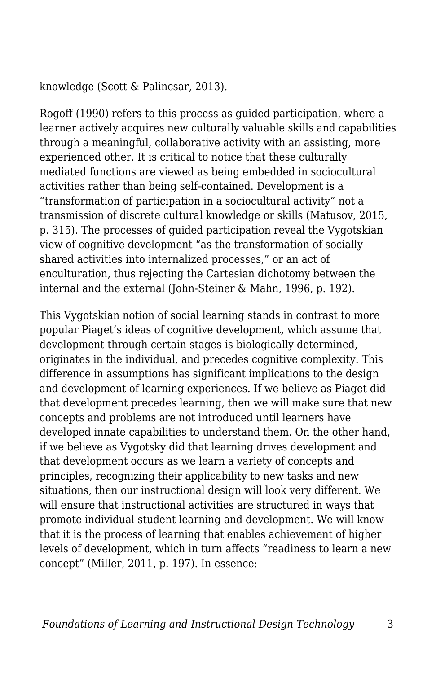knowledge (Scott & Palincsar, 2013).

Rogoff (1990) refers to this process as guided participation, where a learner actively acquires new culturally valuable skills and capabilities through a meaningful, collaborative activity with an assisting, more experienced other. It is critical to notice that these culturally mediated functions are viewed as being embedded in sociocultural activities rather than being self-contained. Development is a "transformation of participation in a sociocultural activity" not a transmission of discrete cultural knowledge or skills (Matusov, 2015, p. 315). The processes of guided participation reveal the Vygotskian view of cognitive development "as the transformation of socially shared activities into internalized processes," or an act of enculturation, thus rejecting the Cartesian dichotomy between the internal and the external (John-Steiner & Mahn, 1996, p. 192).

This Vygotskian notion of social learning stands in contrast to more popular Piaget's ideas of cognitive development, which assume that development through certain stages is biologically determined, originates in the individual, and precedes cognitive complexity. This difference in assumptions has significant implications to the design and development of learning experiences. If we believe as Piaget did that development precedes learning, then we will make sure that new concepts and problems are not introduced until learners have developed innate capabilities to understand them. On the other hand, if we believe as Vygotsky did that learning drives development and that development occurs as we learn a variety of concepts and principles, recognizing their applicability to new tasks and new situations, then our instructional design will look very different. We will ensure that instructional activities are structured in ways that promote individual student learning and development. We will know that it is the process of learning that enables achievement of higher levels of development, which in turn affects "readiness to learn a new concept" (Miller, 2011, p. 197). In essence: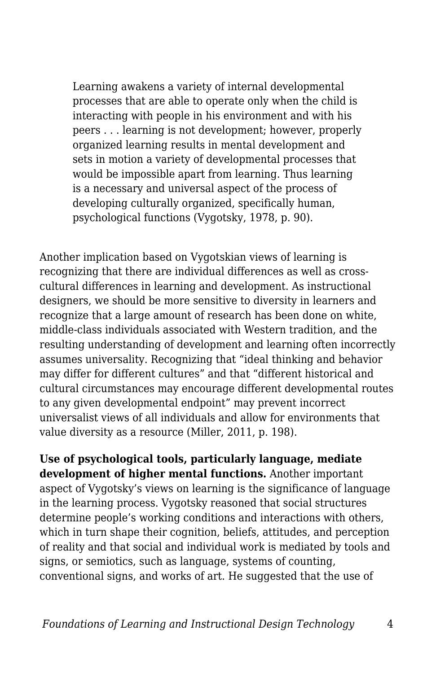Learning awakens a variety of internal developmental processes that are able to operate only when the child is interacting with people in his environment and with his peers . . . learning is not development; however, properly organized learning results in mental development and sets in motion a variety of developmental processes that would be impossible apart from learning. Thus learning is a necessary and universal aspect of the process of developing culturally organized, specifically human, psychological functions (Vygotsky, 1978, p. 90).

Another implication based on Vygotskian views of learning is recognizing that there are individual differences as well as crosscultural differences in learning and development. As instructional designers, we should be more sensitive to diversity in learners and recognize that a large amount of research has been done on white, middle-class individuals associated with Western tradition, and the resulting understanding of development and learning often incorrectly assumes universality. Recognizing that "ideal thinking and behavior may differ for different cultures" and that "different historical and cultural circumstances may encourage different developmental routes to any given developmental endpoint" may prevent incorrect universalist views of all individuals and allow for environments that value diversity as a resource (Miller, 2011, p. 198).

**Use of psychological tools, particularly language, mediate development of higher mental functions.** Another important aspect of Vygotsky's views on learning is the significance of language in the learning process. Vygotsky reasoned that social structures determine people's working conditions and interactions with others, which in turn shape their cognition, beliefs, attitudes, and perception of reality and that social and individual work is mediated by tools and signs, or semiotics, such as language, systems of counting, conventional signs, and works of art. He suggested that the use of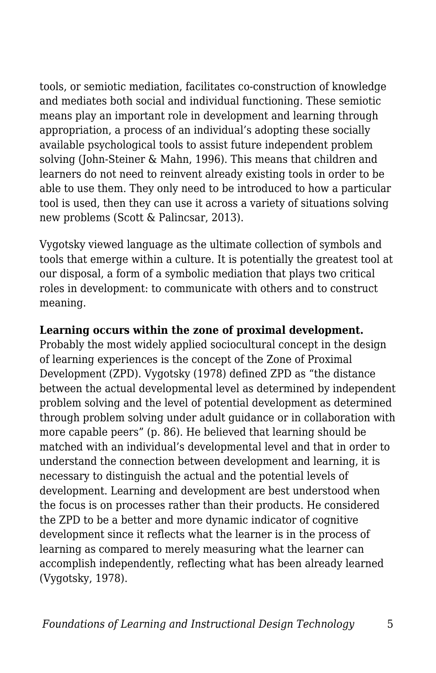tools, or semiotic mediation, facilitates co-construction of knowledge and mediates both social and individual functioning. These semiotic means play an important role in development and learning through appropriation, a process of an individual's adopting these socially available psychological tools to assist future independent problem solving (John-Steiner & Mahn, 1996). This means that children and learners do not need to reinvent already existing tools in order to be able to use them. They only need to be introduced to how a particular tool is used, then they can use it across a variety of situations solving new problems (Scott & Palincsar, 2013).

Vygotsky viewed language as the ultimate collection of symbols and tools that emerge within a culture. It is potentially the greatest tool at our disposal, a form of a symbolic mediation that plays two critical roles in development: to communicate with others and to construct meaning.

#### **Learning occurs within the zone of proximal development.**

Probably the most widely applied sociocultural concept in the design of learning experiences is the concept of the Zone of Proximal Development (ZPD). Vygotsky (1978) defined ZPD as "the distance between the actual developmental level as determined by independent problem solving and the level of potential development as determined through problem solving under adult guidance or in collaboration with more capable peers" (p. 86). He believed that learning should be matched with an individual's developmental level and that in order to understand the connection between development and learning, it is necessary to distinguish the actual and the potential levels of development. Learning and development are best understood when the focus is on processes rather than their products. He considered the ZPD to be a better and more dynamic indicator of cognitive development since it reflects what the learner is in the process of learning as compared to merely measuring what the learner can accomplish independently, reflecting what has been already learned (Vygotsky, 1978).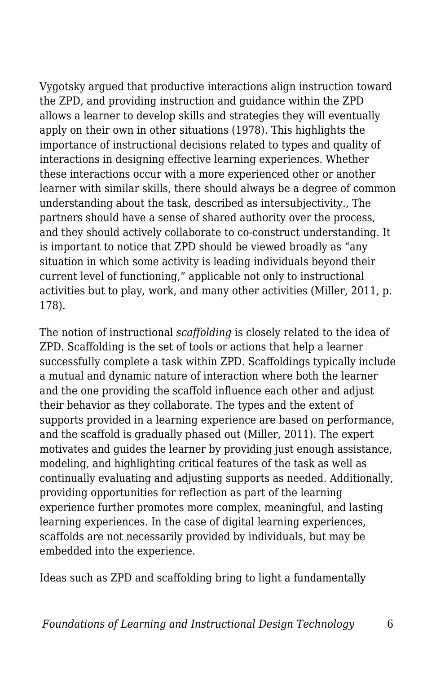Vygotsky argued that productive interactions align instruction toward the ZPD, and providing instruction and guidance within the ZPD allows a learner to develop skills and strategies they will eventually apply on their own in other situations (1978). This highlights the importance of instructional decisions related to types and quality of interactions in designing effective learning experiences. Whether these interactions occur with a more experienced other or another learner with similar skills, there should always be a degree of common understanding about the task, described as intersubjectivity., The partners should have a sense of shared authority over the process, and they should actively collaborate to co-construct understanding. It is important to notice that ZPD should be viewed broadly as "any situation in which some activity is leading individuals beyond their current level of functioning," applicable not only to instructional activities but to play, work, and many other activities (Miller, 2011, p. 178).

The notion of instructional *scaffolding* is closely related to the idea of ZPD. Scaffolding is the set of tools or actions that help a learner successfully complete a task within ZPD. Scaffoldings typically include a mutual and dynamic nature of interaction where both the learner and the one providing the scaffold influence each other and adjust their behavior as they collaborate. The types and the extent of supports provided in a learning experience are based on performance, and the scaffold is gradually phased out (Miller, 2011). The expert motivates and guides the learner by providing just enough assistance, modeling, and highlighting critical features of the task as well as continually evaluating and adjusting supports as needed. Additionally, providing opportunities for reflection as part of the learning experience further promotes more complex, meaningful, and lasting learning experiences. In the case of digital learning experiences, scaffolds are not necessarily provided by individuals, but may be embedded into the experience.

Ideas such as ZPD and scaffolding bring to light a fundamentally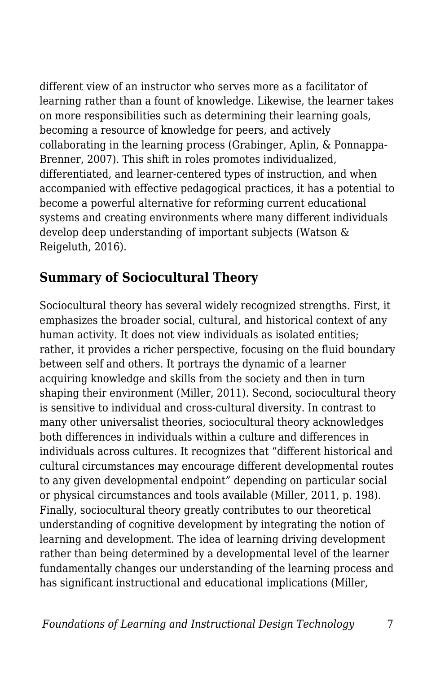different view of an instructor who serves more as a facilitator of learning rather than a fount of knowledge. Likewise, the learner takes on more responsibilities such as determining their learning goals, becoming a resource of knowledge for peers, and actively collaborating in the learning process (Grabinger, Aplin, & Ponnappa-Brenner, 2007). This shift in roles promotes individualized, differentiated, and learner-centered types of instruction, and when accompanied with effective pedagogical practices, it has a potential to become a powerful alternative for reforming current educational systems and creating environments where many different individuals develop deep understanding of important subjects (Watson & Reigeluth, 2016).

#### **Summary of Sociocultural Theory**

Sociocultural theory has several widely recognized strengths. First, it emphasizes the broader social, cultural, and historical context of any human activity. It does not view individuals as isolated entities; rather, it provides a richer perspective, focusing on the fluid boundary between self and others. It portrays the dynamic of a learner acquiring knowledge and skills from the society and then in turn shaping their environment (Miller, 2011). Second, sociocultural theory is sensitive to individual and cross-cultural diversity. In contrast to many other universalist theories, sociocultural theory acknowledges both differences in individuals within a culture and differences in individuals across cultures. It recognizes that "different historical and cultural circumstances may encourage different developmental routes to any given developmental endpoint" depending on particular social or physical circumstances and tools available (Miller, 2011, p. 198). Finally, sociocultural theory greatly contributes to our theoretical understanding of cognitive development by integrating the notion of learning and development. The idea of learning driving development rather than being determined by a developmental level of the learner fundamentally changes our understanding of the learning process and has significant instructional and educational implications (Miller,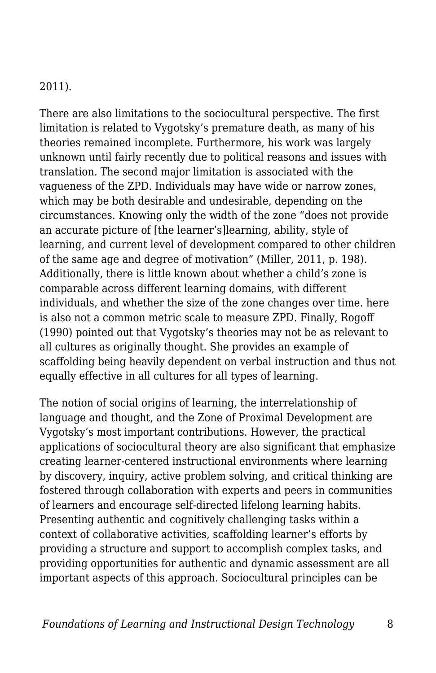#### 2011).

There are also limitations to the sociocultural perspective. The first limitation is related to Vygotsky's premature death, as many of his theories remained incomplete. Furthermore, his work was largely unknown until fairly recently due to political reasons and issues with translation. The second major limitation is associated with the vagueness of the ZPD. Individuals may have wide or narrow zones, which may be both desirable and undesirable, depending on the circumstances. Knowing only the width of the zone "does not provide an accurate picture of [the learner's]learning, ability, style of learning, and current level of development compared to other children of the same age and degree of motivation" (Miller, 2011, p. 198). Additionally, there is little known about whether a child's zone is comparable across different learning domains, with different individuals, and whether the size of the zone changes over time. here is also not a common metric scale to measure ZPD. Finally, Rogoff (1990) pointed out that Vygotsky's theories may not be as relevant to all cultures as originally thought. She provides an example of scaffolding being heavily dependent on verbal instruction and thus not equally effective in all cultures for all types of learning.

The notion of social origins of learning, the interrelationship of language and thought, and the Zone of Proximal Development are Vygotsky's most important contributions. However, the practical applications of sociocultural theory are also significant that emphasize creating learner-centered instructional environments where learning by discovery, inquiry, active problem solving, and critical thinking are fostered through collaboration with experts and peers in communities of learners and encourage self-directed lifelong learning habits. Presenting authentic and cognitively challenging tasks within a context of collaborative activities, scaffolding learner's efforts by providing a structure and support to accomplish complex tasks, and providing opportunities for authentic and dynamic assessment are all important aspects of this approach. Sociocultural principles can be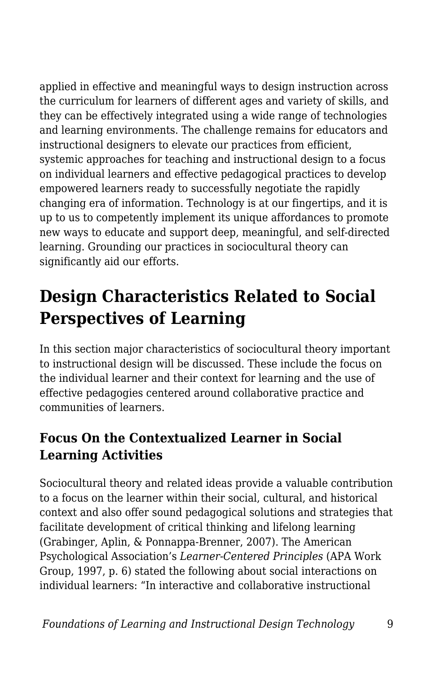applied in effective and meaningful ways to design instruction across the curriculum for learners of different ages and variety of skills, and they can be effectively integrated using a wide range of technologies and learning environments. The challenge remains for educators and instructional designers to elevate our practices from efficient, systemic approaches for teaching and instructional design to a focus on individual learners and effective pedagogical practices to develop empowered learners ready to successfully negotiate the rapidly changing era of information. Technology is at our fingertips, and it is up to us to competently implement its unique affordances to promote new ways to educate and support deep, meaningful, and self-directed learning. Grounding our practices in sociocultural theory can significantly aid our efforts.

## **Design Characteristics Related to Social Perspectives of Learning**

In this section major characteristics of sociocultural theory important to instructional design will be discussed. These include the focus on the individual learner and their context for learning and the use of effective pedagogies centered around collaborative practice and communities of learners.

#### **Focus On the Contextualized Learner in Social Learning Activities**

Sociocultural theory and related ideas provide a valuable contribution to a focus on the learner within their social, cultural, and historical context and also offer sound pedagogical solutions and strategies that facilitate development of critical thinking and lifelong learning (Grabinger, Aplin, & Ponnappa-Brenner, 2007). The American Psychological Association's *Learner-Centered Principles* (APA Work Group, 1997, p. 6) stated the following about social interactions on individual learners: "In interactive and collaborative instructional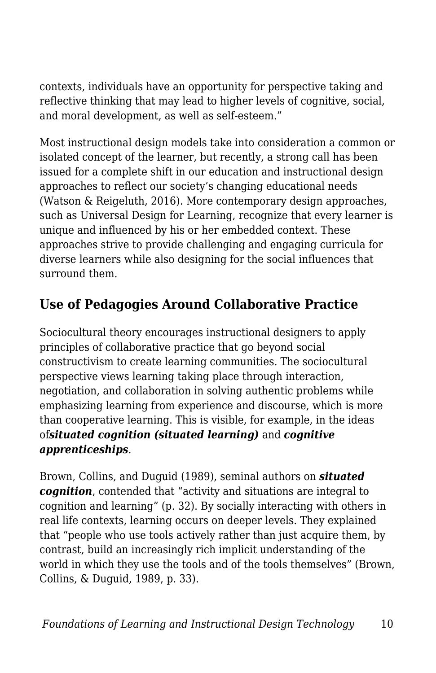contexts, individuals have an opportunity for perspective taking and reflective thinking that may lead to higher levels of cognitive, social, and moral development, as well as self-esteem."

Most instructional design models take into consideration a common or isolated concept of the learner, but recently, a strong call has been issued for a complete shift in our education and instructional design approaches to reflect our society's changing educational needs (Watson & Reigeluth, 2016). More contemporary design approaches, such as Universal Design for Learning, recognize that every learner is unique and influenced by his or her embedded context. These approaches strive to provide challenging and engaging curricula for diverse learners while also designing for the social influences that surround them.

#### **Use of Pedagogies Around Collaborative Practice**

Sociocultural theory encourages instructional designers to apply principles of collaborative practice that go beyond social constructivism to create learning communities. The sociocultural perspective views learning taking place through interaction, negotiation, and collaboration in solving authentic problems while emphasizing learning from experience and discourse, which is more than cooperative learning. This is visible, for example, in the ideas of*situated cognition (situated learning)* and *cognitive apprenticeships*.

Brown, Collins, and Duguid (1989), seminal authors on *situated cognition*, contended that "activity and situations are integral to cognition and learning" (p. 32). By socially interacting with others in real life contexts, learning occurs on deeper levels. They explained that "people who use tools actively rather than just acquire them, by contrast, build an increasingly rich implicit understanding of the world in which they use the tools and of the tools themselves" (Brown, Collins, & Duguid, 1989, p. 33).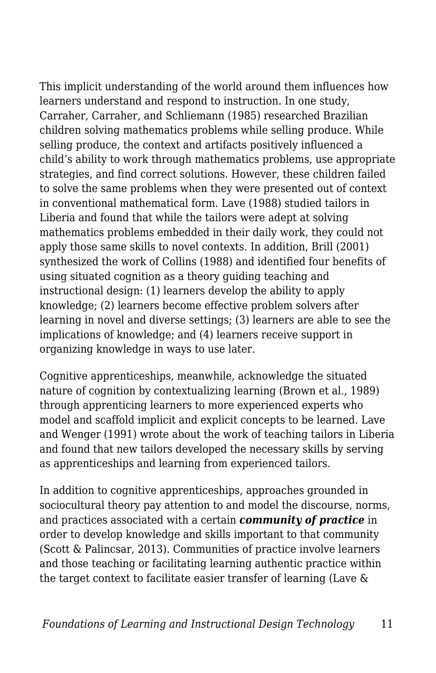This implicit understanding of the world around them influences how learners understand and respond to instruction. In one study, Carraher, Carraher, and Schliemann (1985) researched Brazilian children solving mathematics problems while selling produce. While selling produce, the context and artifacts positively influenced a child's ability to work through mathematics problems, use appropriate strategies, and find correct solutions. However, these children failed to solve the same problems when they were presented out of context in conventional mathematical form. Lave (1988) studied tailors in Liberia and found that while the tailors were adept at solving mathematics problems embedded in their daily work, they could not apply those same skills to novel contexts. In addition, Brill (2001) synthesized the work of Collins (1988) and identified four benefits of using situated cognition as a theory guiding teaching and instructional design: (1) learners develop the ability to apply knowledge; (2) learners become effective problem solvers after learning in novel and diverse settings; (3) learners are able to see the implications of knowledge; and (4) learners receive support in organizing knowledge in ways to use later.

Cognitive apprenticeships, meanwhile, acknowledge the situated nature of cognition by contextualizing learning (Brown et al., 1989) through apprenticing learners to more experienced experts who model and scaffold implicit and explicit concepts to be learned. Lave and Wenger (1991) wrote about the work of teaching tailors in Liberia and found that new tailors developed the necessary skills by serving as apprenticeships and learning from experienced tailors.

In addition to cognitive apprenticeships, approaches grounded in sociocultural theory pay attention to and model the discourse, norms, and practices associated with a certain *community of practice* in order to develop knowledge and skills important to that community (Scott & Palincsar, 2013). Communities of practice involve learners and those teaching or facilitating learning authentic practice within the target context to facilitate easier transfer of learning (Lave &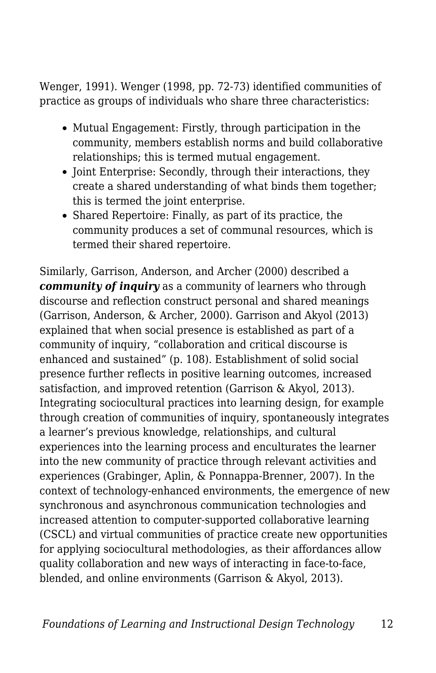Wenger, 1991). Wenger (1998, pp. 72-73) identified communities of practice as groups of individuals who share three characteristics:

- Mutual Engagement: Firstly, through participation in the community, members establish norms and build collaborative relationships; this is termed mutual engagement.
- Joint Enterprise: Secondly, through their interactions, they create a shared understanding of what binds them together; this is termed the joint enterprise.
- Shared Repertoire: Finally, as part of its practice, the community produces a set of communal resources, which is termed their shared repertoire.

Similarly, Garrison, Anderson, and Archer (2000) described a *community of inquiry* as a community of learners who through discourse and reflection construct personal and shared meanings (Garrison, Anderson, & Archer, 2000). Garrison and Akyol (2013) explained that when social presence is established as part of a community of inquiry, "collaboration and critical discourse is enhanced and sustained" (p. 108). Establishment of solid social presence further reflects in positive learning outcomes, increased satisfaction, and improved retention (Garrison & Akyol, 2013). Integrating sociocultural practices into learning design, for example through creation of communities of inquiry, spontaneously integrates a learner's previous knowledge, relationships, and cultural experiences into the learning process and enculturates the learner into the new community of practice through relevant activities and experiences (Grabinger, Aplin, & Ponnappa-Brenner, 2007). In the context of technology-enhanced environments, the emergence of new synchronous and asynchronous communication technologies and increased attention to computer-supported collaborative learning (CSCL) and virtual communities of practice create new opportunities for applying sociocultural methodologies, as their affordances allow quality collaboration and new ways of interacting in face-to-face, blended, and online environments (Garrison & Akyol, 2013).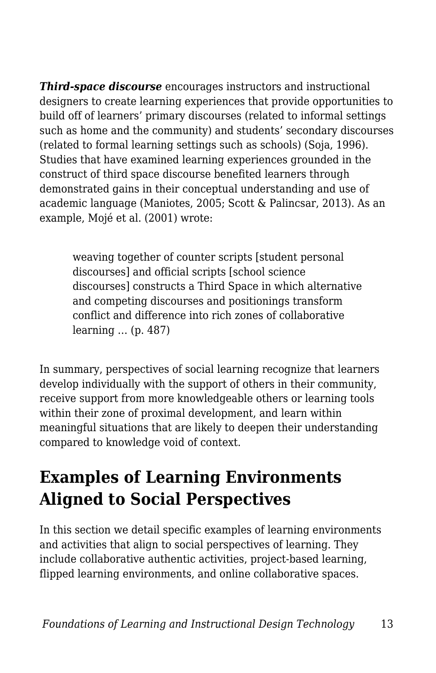*Third-space discourse* encourages instructors and instructional designers to create learning experiences that provide opportunities to build off of learners' primary discourses (related to informal settings such as home and the community) and students' secondary discourses (related to formal learning settings such as schools) (Soja, 1996). Studies that have examined learning experiences grounded in the construct of third space discourse benefited learners through demonstrated gains in their conceptual understanding and use of academic language (Maniotes, 2005; Scott & Palincsar, 2013). As an example, Mojé et al. (2001) wrote:

weaving together of counter scripts [student personal discourses] and official scripts [school science discourses] constructs a Third Space in which alternative and competing discourses and positionings transform conflict and difference into rich zones of collaborative learning … (p. 487)

In summary, perspectives of social learning recognize that learners develop individually with the support of others in their community, receive support from more knowledgeable others or learning tools within their zone of proximal development, and learn within meaningful situations that are likely to deepen their understanding compared to knowledge void of context.

### **Examples of Learning Environments Aligned to Social Perspectives**

In this section we detail specific examples of learning environments and activities that align to social perspectives of learning. They include collaborative authentic activities, project-based learning, flipped learning environments, and online collaborative spaces.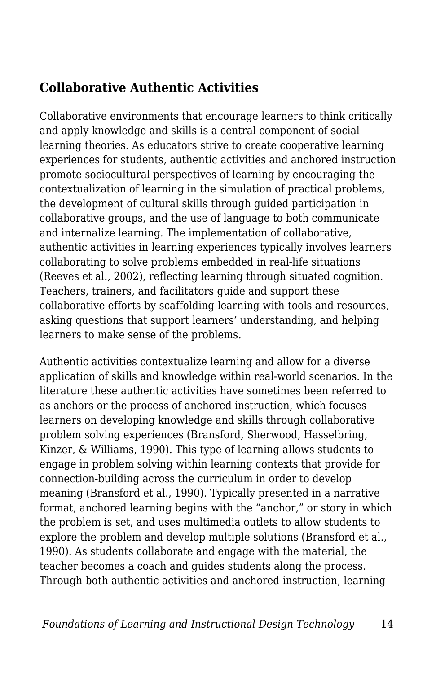#### **Collaborative Authentic Activities**

Collaborative environments that encourage learners to think critically and apply knowledge and skills is a central component of social learning theories. As educators strive to create cooperative learning experiences for students, authentic activities and anchored instruction promote sociocultural perspectives of learning by encouraging the contextualization of learning in the simulation of practical problems, the development of cultural skills through guided participation in collaborative groups, and the use of language to both communicate and internalize learning. The implementation of collaborative, authentic activities in learning experiences typically involves learners collaborating to solve problems embedded in real-life situations (Reeves et al., 2002), reflecting learning through situated cognition. Teachers, trainers, and facilitators guide and support these collaborative efforts by scaffolding learning with tools and resources, asking questions that support learners' understanding, and helping learners to make sense of the problems.

Authentic activities contextualize learning and allow for a diverse application of skills and knowledge within real-world scenarios. In the literature these authentic activities have sometimes been referred to as anchors or the process of anchored instruction, which focuses learners on developing knowledge and skills through collaborative problem solving experiences (Bransford, Sherwood, Hasselbring, Kinzer, & Williams, 1990). This type of learning allows students to engage in problem solving within learning contexts that provide for connection-building across the curriculum in order to develop meaning (Bransford et al., 1990). Typically presented in a narrative format, anchored learning begins with the "anchor," or story in which the problem is set, and uses multimedia outlets to allow students to explore the problem and develop multiple solutions (Bransford et al., 1990). As students collaborate and engage with the material, the teacher becomes a coach and guides students along the process. Through both authentic activities and anchored instruction, learning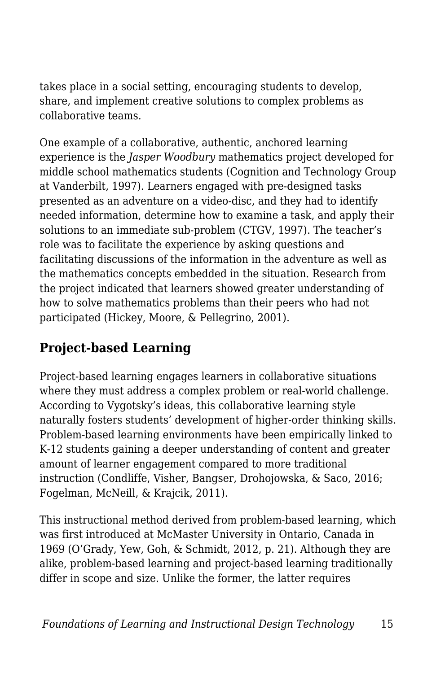takes place in a social setting, encouraging students to develop, share, and implement creative solutions to complex problems as collaborative teams.

One example of a collaborative, authentic, anchored learning experience is the *Jasper Woodbury* mathematics project developed for middle school mathematics students (Cognition and Technology Group at Vanderbilt, 1997). Learners engaged with pre-designed tasks presented as an adventure on a video-disc, and they had to identify needed information, determine how to examine a task, and apply their solutions to an immediate sub-problem (CTGV, 1997). The teacher's role was to facilitate the experience by asking questions and facilitating discussions of the information in the adventure as well as the mathematics concepts embedded in the situation. Research from the project indicated that learners showed greater understanding of how to solve mathematics problems than their peers who had not participated (Hickey, Moore, & Pellegrino, 2001).

#### **Project-based Learning**

Project-based learning engages learners in collaborative situations where they must address a complex problem or real-world challenge. According to Vygotsky's ideas, this collaborative learning style naturally fosters students' development of higher-order thinking skills. Problem-based learning environments have been empirically linked to K-12 students gaining a deeper understanding of content and greater amount of learner engagement compared to more traditional instruction (Condliffe, Visher, Bangser, Drohojowska, & Saco, 2016; Fogelman, McNeill, & Krajcik, 2011).

This instructional method derived from problem-based learning, which was first introduced at McMaster University in Ontario, Canada in 1969 (O'Grady, Yew, Goh, & Schmidt, 2012, p. 21). Although they are alike, problem-based learning and project-based learning traditionally differ in scope and size. Unlike the former, the latter requires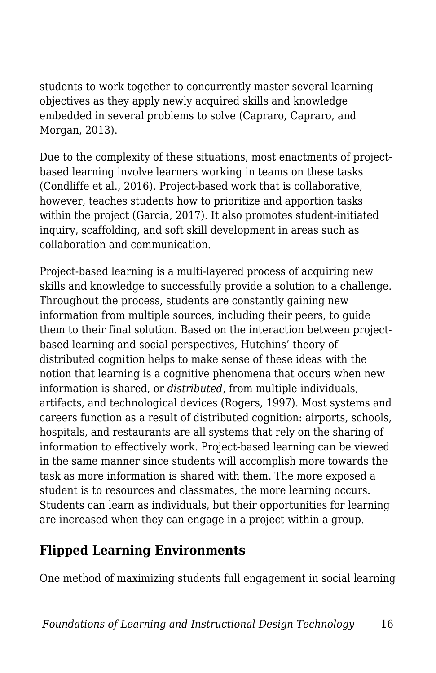students to work together to concurrently master several learning objectives as they apply newly acquired skills and knowledge embedded in several problems to solve (Capraro, Capraro, and Morgan, 2013).

Due to the complexity of these situations, most enactments of projectbased learning involve learners working in teams on these tasks (Condliffe et al., 2016). Project-based work that is collaborative, however, teaches students how to prioritize and apportion tasks within the project (Garcia, 2017). It also promotes student-initiated inquiry, scaffolding, and soft skill development in areas such as collaboration and communication.

Project-based learning is a multi-layered process of acquiring new skills and knowledge to successfully provide a solution to a challenge. Throughout the process, students are constantly gaining new information from multiple sources, including their peers, to guide them to their final solution. Based on the interaction between projectbased learning and social perspectives, Hutchins' theory of distributed cognition helps to make sense of these ideas with the notion that learning is a cognitive phenomena that occurs when new information is shared, or *distributed*, from multiple individuals, artifacts, and technological devices (Rogers, 1997). Most systems and careers function as a result of distributed cognition: airports, schools, hospitals, and restaurants are all systems that rely on the sharing of information to effectively work. Project-based learning can be viewed in the same manner since students will accomplish more towards the task as more information is shared with them. The more exposed a student is to resources and classmates, the more learning occurs. Students can learn as individuals, but their opportunities for learning are increased when they can engage in a project within a group.

#### **Flipped Learning Environments**

One method of maximizing students full engagement in social learning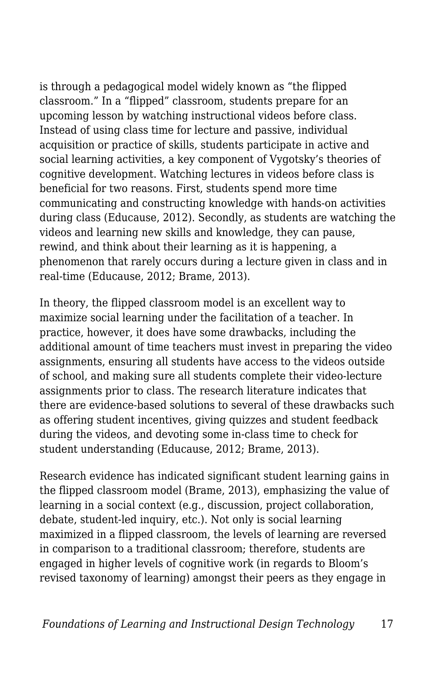is through a pedagogical model widely known as "the flipped classroom." In a "flipped" classroom, students prepare for an upcoming lesson by watching instructional videos before class. Instead of using class time for lecture and passive, individual acquisition or practice of skills, students participate in active and social learning activities, a key component of Vygotsky's theories of cognitive development. Watching lectures in videos before class is beneficial for two reasons. First, students spend more time communicating and constructing knowledge with hands-on activities during class (Educause, 2012). Secondly, as students are watching the videos and learning new skills and knowledge, they can pause, rewind, and think about their learning as it is happening, a phenomenon that rarely occurs during a lecture given in class and in real-time (Educause, 2012; Brame, 2013).

In theory, the flipped classroom model is an excellent way to maximize social learning under the facilitation of a teacher. In practice, however, it does have some drawbacks, including the additional amount of time teachers must invest in preparing the video assignments, ensuring all students have access to the videos outside of school, and making sure all students complete their video-lecture assignments prior to class. The research literature indicates that there are evidence-based solutions to several of these drawbacks such as offering student incentives, giving quizzes and student feedback during the videos, and devoting some in-class time to check for student understanding (Educause, 2012; Brame, 2013).

Research evidence has indicated significant student learning gains in the flipped classroom model (Brame, 2013), emphasizing the value of learning in a social context (e.g., discussion, project collaboration, debate, student-led inquiry, etc.). Not only is social learning maximized in a flipped classroom, the levels of learning are reversed in comparison to a traditional classroom; therefore, students are engaged in higher levels of cognitive work (in regards to Bloom's revised taxonomy of learning) amongst their peers as they engage in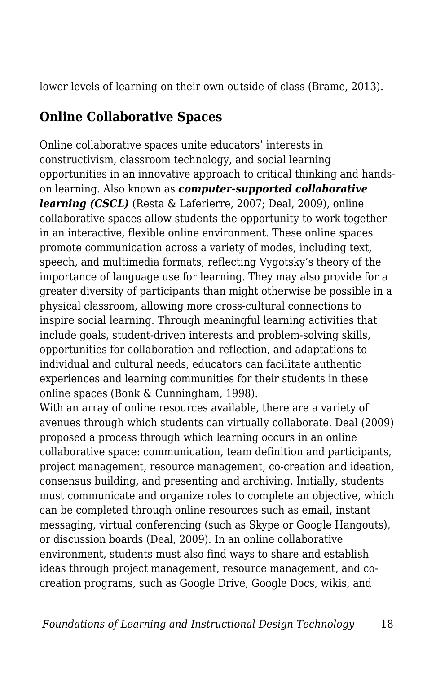lower levels of learning on their own outside of class (Brame, 2013).

#### **Online Collaborative Spaces**

Online collaborative spaces unite educators' interests in constructivism, classroom technology, and social learning opportunities in an innovative approach to critical thinking and handson learning. Also known as *computer-supported collaborative learning (CSCL)* (Resta & Laferierre, 2007; Deal, 2009), online collaborative spaces allow students the opportunity to work together in an interactive, flexible online environment. These online spaces promote communication across a variety of modes, including text, speech, and multimedia formats, reflecting Vygotsky's theory of the importance of language use for learning. They may also provide for a greater diversity of participants than might otherwise be possible in a physical classroom, allowing more cross-cultural connections to inspire social learning. Through meaningful learning activities that include goals, student-driven interests and problem-solving skills, opportunities for collaboration and reflection, and adaptations to individual and cultural needs, educators can facilitate authentic experiences and learning communities for their students in these online spaces (Bonk & Cunningham, 1998).

With an array of online resources available, there are a variety of avenues through which students can virtually collaborate. Deal (2009) proposed a process through which learning occurs in an online collaborative space: communication, team definition and participants, project management, resource management, co-creation and ideation, consensus building, and presenting and archiving. Initially, students must communicate and organize roles to complete an objective, which can be completed through online resources such as email, instant messaging, virtual conferencing (such as Skype or Google Hangouts), or discussion boards (Deal, 2009). In an online collaborative environment, students must also find ways to share and establish ideas through project management, resource management, and cocreation programs, such as Google Drive, Google Docs, wikis, and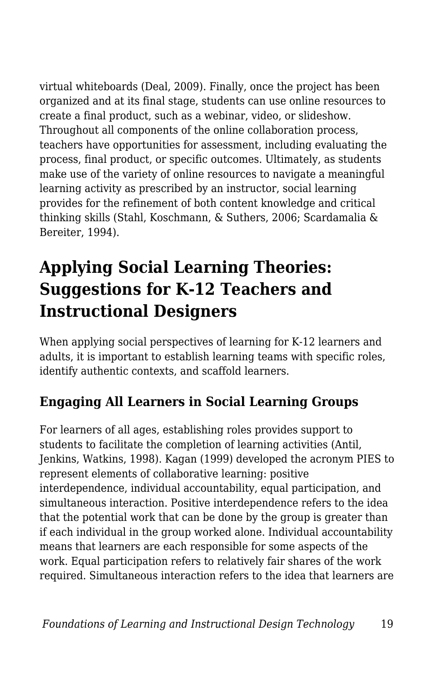virtual whiteboards (Deal, 2009). Finally, once the project has been organized and at its final stage, students can use online resources to create a final product, such as a webinar, video, or slideshow. Throughout all components of the online collaboration process, teachers have opportunities for assessment, including evaluating the process, final product, or specific outcomes. Ultimately, as students make use of the variety of online resources to navigate a meaningful learning activity as prescribed by an instructor, social learning provides for the refinement of both content knowledge and critical thinking skills (Stahl, Koschmann, & Suthers, 2006; Scardamalia & Bereiter, 1994).

# **Applying Social Learning Theories: Suggestions for K-12 Teachers and Instructional Designers**

When applying social perspectives of learning for K-12 learners and adults, it is important to establish learning teams with specific roles, identify authentic contexts, and scaffold learners.

#### **Engaging All Learners in Social Learning Groups**

For learners of all ages, establishing roles provides support to students to facilitate the completion of learning activities (Antil, Jenkins, Watkins, 1998). Kagan (1999) developed the acronym PIES to represent elements of collaborative learning: positive interdependence, individual accountability, equal participation, and simultaneous interaction. Positive interdependence refers to the idea that the potential work that can be done by the group is greater than if each individual in the group worked alone. Individual accountability means that learners are each responsible for some aspects of the work. Equal participation refers to relatively fair shares of the work required. Simultaneous interaction refers to the idea that learners are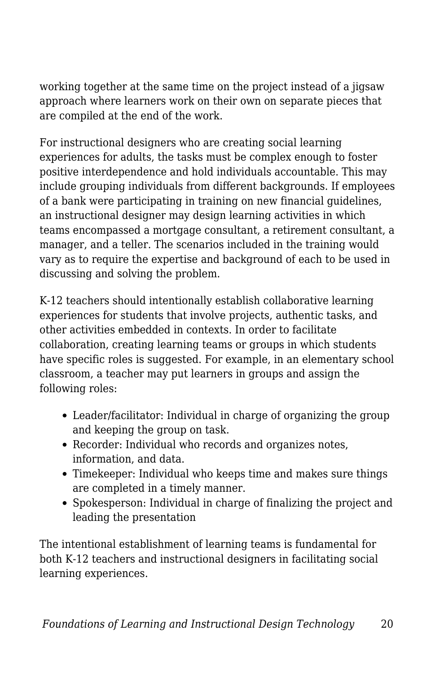working together at the same time on the project instead of a jigsaw approach where learners work on their own on separate pieces that are compiled at the end of the work.

For instructional designers who are creating social learning experiences for adults, the tasks must be complex enough to foster positive interdependence and hold individuals accountable. This may include grouping individuals from different backgrounds. If employees of a bank were participating in training on new financial guidelines, an instructional designer may design learning activities in which teams encompassed a mortgage consultant, a retirement consultant, a manager, and a teller. The scenarios included in the training would vary as to require the expertise and background of each to be used in discussing and solving the problem.

K-12 teachers should intentionally establish collaborative learning experiences for students that involve projects, authentic tasks, and other activities embedded in contexts. In order to facilitate collaboration, creating learning teams or groups in which students have specific roles is suggested. For example, in an elementary school classroom, a teacher may put learners in groups and assign the following roles:

- Leader/facilitator: Individual in charge of organizing the group and keeping the group on task.
- Recorder: Individual who records and organizes notes, information, and data.
- Timekeeper: Individual who keeps time and makes sure things are completed in a timely manner.
- Spokesperson: Individual in charge of finalizing the project and leading the presentation

The intentional establishment of learning teams is fundamental for both K-12 teachers and instructional designers in facilitating social learning experiences.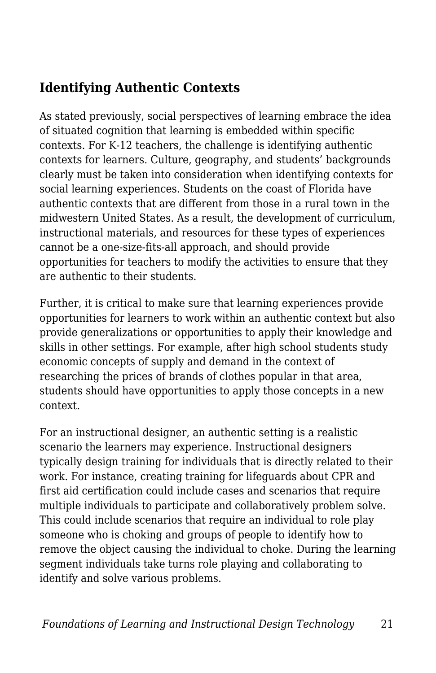#### **Identifying Authentic Contexts**

As stated previously, social perspectives of learning embrace the idea of situated cognition that learning is embedded within specific contexts. For K-12 teachers, the challenge is identifying authentic contexts for learners. Culture, geography, and students' backgrounds clearly must be taken into consideration when identifying contexts for social learning experiences. Students on the coast of Florida have authentic contexts that are different from those in a rural town in the midwestern United States. As a result, the development of curriculum, instructional materials, and resources for these types of experiences cannot be a one-size-fits-all approach, and should provide opportunities for teachers to modify the activities to ensure that they are authentic to their students.

Further, it is critical to make sure that learning experiences provide opportunities for learners to work within an authentic context but also provide generalizations or opportunities to apply their knowledge and skills in other settings. For example, after high school students study economic concepts of supply and demand in the context of researching the prices of brands of clothes popular in that area, students should have opportunities to apply those concepts in a new context.

For an instructional designer, an authentic setting is a realistic scenario the learners may experience. Instructional designers typically design training for individuals that is directly related to their work. For instance, creating training for lifeguards about CPR and first aid certification could include cases and scenarios that require multiple individuals to participate and collaboratively problem solve. This could include scenarios that require an individual to role play someone who is choking and groups of people to identify how to remove the object causing the individual to choke. During the learning segment individuals take turns role playing and collaborating to identify and solve various problems.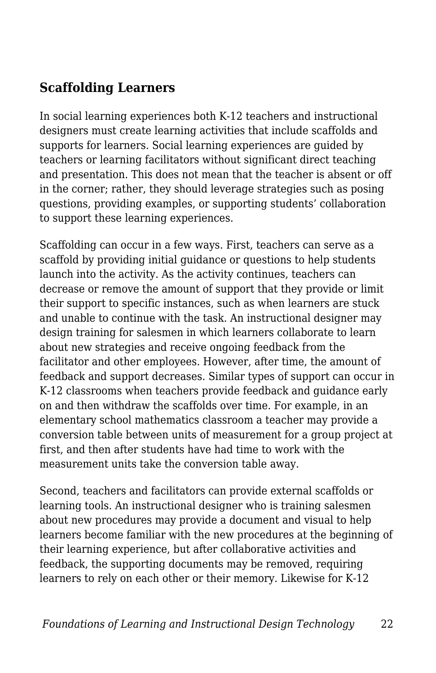#### **Scaffolding Learners**

In social learning experiences both K-12 teachers and instructional designers must create learning activities that include scaffolds and supports for learners. Social learning experiences are guided by teachers or learning facilitators without significant direct teaching and presentation. This does not mean that the teacher is absent or off in the corner; rather, they should leverage strategies such as posing questions, providing examples, or supporting students' collaboration to support these learning experiences.

Scaffolding can occur in a few ways. First, teachers can serve as a scaffold by providing initial guidance or questions to help students launch into the activity. As the activity continues, teachers can decrease or remove the amount of support that they provide or limit their support to specific instances, such as when learners are stuck and unable to continue with the task. An instructional designer may design training for salesmen in which learners collaborate to learn about new strategies and receive ongoing feedback from the facilitator and other employees. However, after time, the amount of feedback and support decreases. Similar types of support can occur in K-12 classrooms when teachers provide feedback and guidance early on and then withdraw the scaffolds over time. For example, in an elementary school mathematics classroom a teacher may provide a conversion table between units of measurement for a group project at first, and then after students have had time to work with the measurement units take the conversion table away.

Second, teachers and facilitators can provide external scaffolds or learning tools. An instructional designer who is training salesmen about new procedures may provide a document and visual to help learners become familiar with the new procedures at the beginning of their learning experience, but after collaborative activities and feedback, the supporting documents may be removed, requiring learners to rely on each other or their memory. Likewise for K-12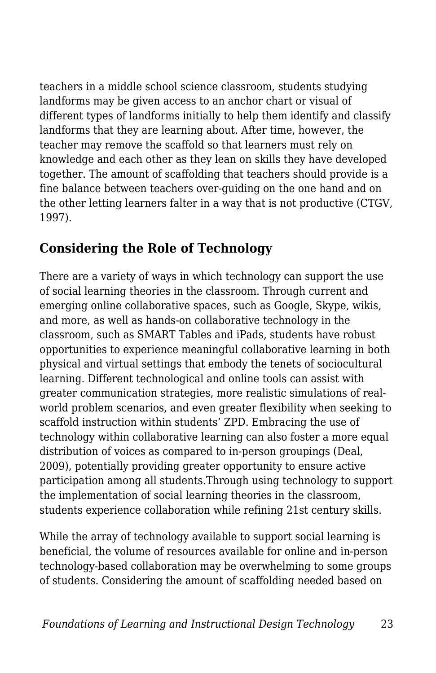teachers in a middle school science classroom, students studying landforms may be given access to an anchor chart or visual of different types of landforms initially to help them identify and classify landforms that they are learning about. After time, however, the teacher may remove the scaffold so that learners must rely on knowledge and each other as they lean on skills they have developed together. The amount of scaffolding that teachers should provide is a fine balance between teachers over-guiding on the one hand and on the other letting learners falter in a way that is not productive (CTGV, 1997).

#### **Considering the Role of Technology**

There are a variety of ways in which technology can support the use of social learning theories in the classroom. Through current and emerging online collaborative spaces, such as Google, Skype, wikis, and more, as well as hands-on collaborative technology in the classroom, such as SMART Tables and iPads, students have robust opportunities to experience meaningful collaborative learning in both physical and virtual settings that embody the tenets of sociocultural learning. Different technological and online tools can assist with greater communication strategies, more realistic simulations of realworld problem scenarios, and even greater flexibility when seeking to scaffold instruction within students' ZPD. Embracing the use of technology within collaborative learning can also foster a more equal distribution of voices as compared to in-person groupings (Deal, 2009), potentially providing greater opportunity to ensure active participation among all students.Through using technology to support the implementation of social learning theories in the classroom, students experience collaboration while refining 21st century skills.

While the array of technology available to support social learning is beneficial, the volume of resources available for online and in-person technology-based collaboration may be overwhelming to some groups of students. Considering the amount of scaffolding needed based on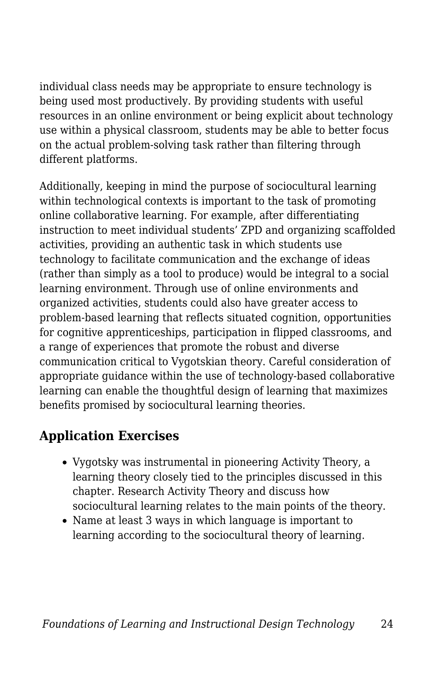individual class needs may be appropriate to ensure technology is being used most productively. By providing students with useful resources in an online environment or being explicit about technology use within a physical classroom, students may be able to better focus on the actual problem-solving task rather than filtering through different platforms.

Additionally, keeping in mind the purpose of sociocultural learning within technological contexts is important to the task of promoting online collaborative learning. For example, after differentiating instruction to meet individual students' ZPD and organizing scaffolded activities, providing an authentic task in which students use technology to facilitate communication and the exchange of ideas (rather than simply as a tool to produce) would be integral to a social learning environment. Through use of online environments and organized activities, students could also have greater access to problem-based learning that reflects situated cognition, opportunities for cognitive apprenticeships, participation in flipped classrooms, and a range of experiences that promote the robust and diverse communication critical to Vygotskian theory. Careful consideration of appropriate guidance within the use of technology-based collaborative learning can enable the thoughtful design of learning that maximizes benefits promised by sociocultural learning theories.

#### **Application Exercises**

- Vygotsky was instrumental in pioneering Activity Theory, a learning theory closely tied to the principles discussed in this chapter. Research Activity Theory and discuss how sociocultural learning relates to the main points of the theory.
- Name at least 3 ways in which language is important to learning according to the sociocultural theory of learning.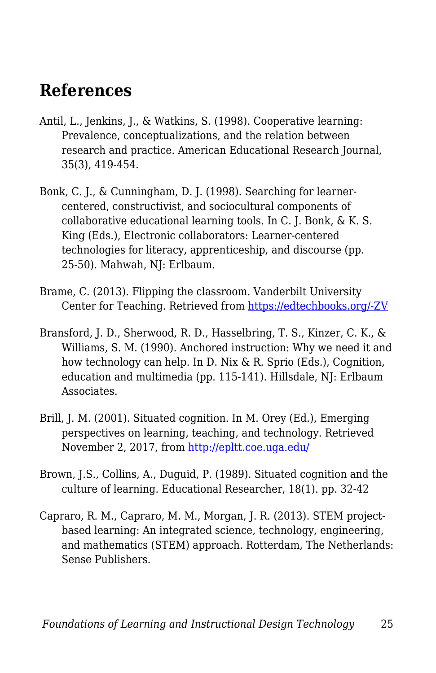### **References**

- Antil, L., Jenkins, J., & Watkins, S. (1998). Cooperative learning: Prevalence, conceptualizations, and the relation between research and practice. American Educational Research Journal, 35(3), 419-454.
- Bonk, C. J., & Cunningham, D. J. (1998). Searching for learnercentered, constructivist, and sociocultural components of collaborative educational learning tools. In C. J. Bonk, & K. S. King (Eds.), Electronic collaborators: Learner-centered technologies for literacy, apprenticeship, and discourse (pp. 25-50). Mahwah, NJ: Erlbaum.
- Brame, C. (2013). Flipping the classroom. Vanderbilt University Center for Teaching. Retrieved from [https://edtechbooks.org/-ZV](http://cft.vanderbilt.edu/guides-sub-pages/flipping-the-classroom/)
- Bransford, J. D., Sherwood, R. D., Hasselbring, T. S., Kinzer, C. K., & Williams, S. M. (1990). Anchored instruction: Why we need it and how technology can help. In D. Nix & R. Sprio (Eds.), Cognition, education and multimedia (pp. 115-141). Hillsdale, NJ: Erlbaum Associates.
- Brill, J. M. (2001). Situated cognition. In M. Orey (Ed.), Emerging perspectives on learning, teaching, and technology. Retrieved November 2, 2017, from <http://epltt.coe.uga.edu/>
- Brown, J.S., Collins, A., Duguid, P. (1989). Situated cognition and the culture of learning. Educational Researcher, 18(1). pp. 32-42
- Capraro, R. M., Capraro, M. M., Morgan, J. R. (2013). STEM projectbased learning: An integrated science, technology, engineering, and mathematics (STEM) approach. Rotterdam, The Netherlands: Sense Publishers.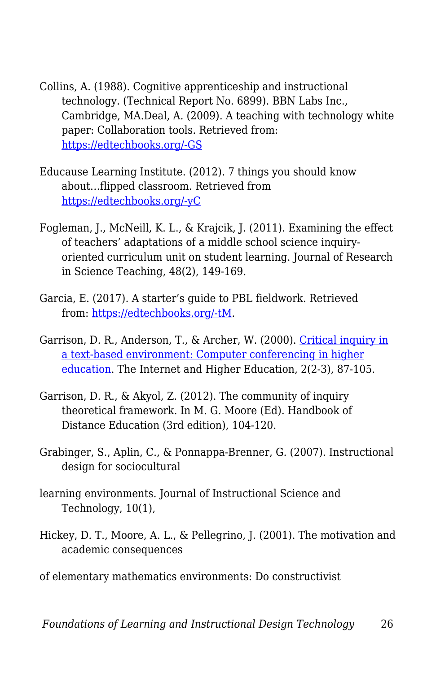- Collins, A. (1988). Cognitive apprenticeship and instructional technology. (Technical Report No. 6899). BBN Labs Inc., Cambridge, MA.Deal, A. (2009). A teaching with technology white paper: Collaboration tools. Retrieved from: [https://edtechbooks.org/-GS](https://www.cmu.edu/teaching/technology/whitepapers/CollaborationTools_Jan09.pdf)
- Educause Learning Institute. (2012). 7 things you should know about…flipped classroom. Retrieved from [https://edtechbooks.org/-yC](https://net.educause.edu/ir/library/pdf/eli7081.pdf)
- Fogleman, J., McNeill, K. L., & Krajcik, J. (2011). Examining the effect of teachers' adaptations of a middle school science inquiryoriented curriculum unit on student learning. Journal of Research in Science Teaching, 48(2), 149-169.
- Garcia, E. (2017). A starter's guide to PBL fieldwork. Retrieved from: [https://edtechbooks.org/-tM.](https://www.edutopia.org/article/starters-guide-pbl-fieldwork)
- Garrison, D. R., Anderson, T., & Archer, W. (2000). [Critical inquiry in](http://cde.athabascau.ca/coi_site/documents/Garrison_Anderson_Archer_Critical_Inquiry_model.pdf) [a text-based environment: Computer conferencing in higher](http://cde.athabascau.ca/coi_site/documents/Garrison_Anderson_Archer_Critical_Inquiry_model.pdf) [education.](http://cde.athabascau.ca/coi_site/documents/Garrison_Anderson_Archer_Critical_Inquiry_model.pdf) The Internet and Higher Education, 2(2-3), 87-105.
- Garrison, D. R., & Akyol, Z. (2012). The community of inquiry theoretical framework. In M. G. Moore (Ed). Handbook of Distance Education (3rd edition), 104-120.
- Grabinger, S., Aplin, C., & Ponnappa-Brenner, G. (2007). Instructional design for sociocultural
- learning environments. Journal of Instructional Science and Technology, 10(1),
- Hickey, D. T., Moore, A. L., & Pellegrino, J. (2001). The motivation and academic consequences
- of elementary mathematics environments: Do constructivist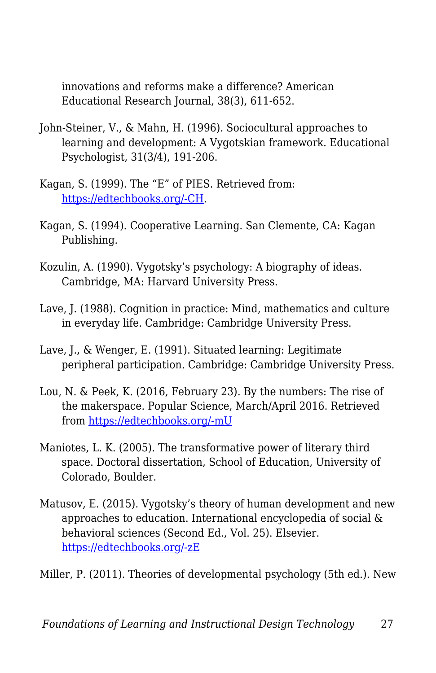innovations and reforms make a difference? American Educational Research Journal, 38(3), 611-652.

- John-Steiner, V., & Mahn, H. (1996). Sociocultural approaches to learning and development: A Vygotskian framework. Educational Psychologist, 31(3/4), 191-206.
- Kagan, S. (1999). The "E" of PIES. Retrieved from: [https://edtechbooks.org/-CH](https://www.kaganonline.com/free_articles/dr_spencer_kagan/ASK05.php).
- Kagan, S. (1994). Cooperative Learning. San Clemente, CA: Kagan Publishing.
- Kozulin, A. (1990). Vygotsky's psychology: A biography of ideas. Cambridge, MA: Harvard University Press.
- Lave, J. (1988). Cognition in practice: Mind, mathematics and culture in everyday life. Cambridge: Cambridge University Press.
- Lave, J., & Wenger, E. (1991). Situated learning: Legitimate peripheral participation. Cambridge: Cambridge University Press.
- Lou, N. & Peek, K. (2016, February 23). By the numbers: The rise of the makerspace. Popular Science, March/April 2016. Retrieved from [https://edtechbooks.org/-mU](http://www.popsci.com/rise-makerspace-by-numbers)
- Maniotes, L. K. (2005). The transformative power of literary third space. Doctoral dissertation, School of Education, University of Colorado, Boulder.
- Matusov, E. (2015). Vygotsky's theory of human development and new approaches to education. International encyclopedia of social & behavioral sciences (Second Ed., Vol. 25). Elsevier. [https://edtechbooks.org/-zE](https://doi.org/10.1016/B978-0-08-097086-8.92016-6)

Miller, P. (2011). Theories of developmental psychology (5th ed.). New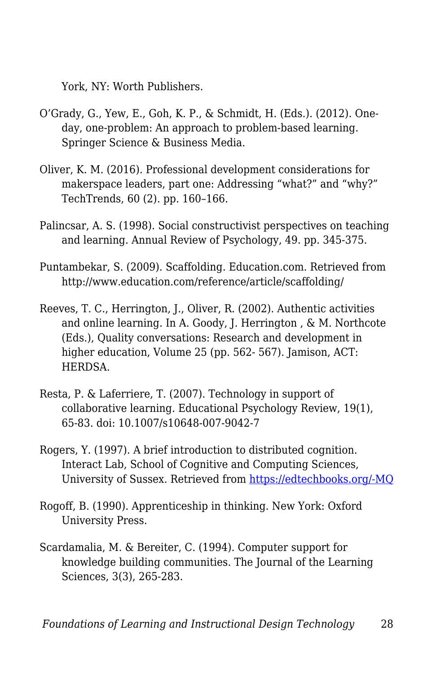York, NY: Worth Publishers.

- O'Grady, G., Yew, E., Goh, K. P., & Schmidt, H. (Eds.). (2012). Oneday, one-problem: An approach to problem-based learning. Springer Science & Business Media.
- Oliver, K. M. (2016). Professional development considerations for makerspace leaders, part one: Addressing "what?" and "why?" TechTrends, 60 (2). pp. 160–166.
- Palincsar, A. S. (1998). Social constructivist perspectives on teaching and learning. Annual Review of Psychology, 49. pp. 345-375.
- Puntambekar, S. (2009). Scaffolding. Education.com. Retrieved from http://www.education.com/reference/article/scaffolding/
- Reeves, T. C., Herrington, J., Oliver, R. (2002). Authentic activities and online learning. In A. Goody, J. Herrington , & M. Northcote (Eds.), Quality conversations: Research and development in higher education, Volume 25 (pp. 562- 567). Jamison, ACT: HERDSA.
- Resta, P. & Laferriere, T. (2007). Technology in support of collaborative learning. Educational Psychology Review, 19(1), 65-83. doi: 10.1007/s10648-007-9042-7
- Rogers, Y. (1997). A brief introduction to distributed cognition. Interact Lab, School of Cognitive and Computing Sciences, University of Sussex. Retrieved from [https://edtechbooks.org/-MQ](http://mcs.open.ac.uk/yr258/papers/dcog/dcog-brief-intro.pdf)
- Rogoff, B. (1990). Apprenticeship in thinking. New York: Oxford University Press.
- Scardamalia, M. & Bereiter, C. (1994). Computer support for knowledge building communities. The Journal of the Learning Sciences, 3(3), 265-283.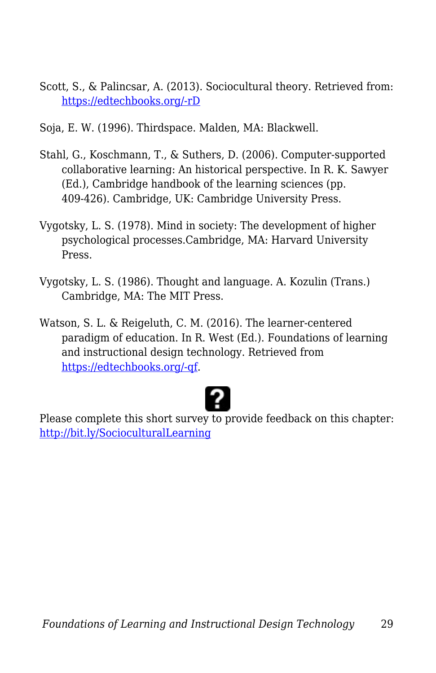- Scott, S., & Palincsar, A. (2013). Sociocultural theory. Retrieved from: [https://edtechbooks.org/-rD](http://dr-hatfield.com/theorists/resources/sociocultural_theory.pdf)
- Soja, E. W. (1996). Thirdspace. Malden, MA: Blackwell.
- Stahl, G., Koschmann, T., & Suthers, D. (2006). Computer-supported collaborative learning: An historical perspective. In R. K. Sawyer (Ed.), Cambridge handbook of the learning sciences (pp. 409-426). Cambridge, UK: Cambridge University Press.
- Vygotsky, L. S. (1978). Mind in society: The development of higher psychological processes.Cambridge, MA: Harvard University Press.
- Vygotsky, L. S. (1986). Thought and language. A. Kozulin (Trans.) Cambridge, MA: The MIT Press.
- Watson, S. L. & Reigeluth, C. M. (2016). The learner-centered paradigm of education. In R. West (Ed.). Foundations of learning and instructional design technology. Retrieved from [https://edtechbooks.org/-qf](https://lidtfoundations.pressbooks.com/chapter/systemic-change/).



Please complete this short survey to provide feedback on this chapter: <http://bit.ly/SocioculturalLearning>